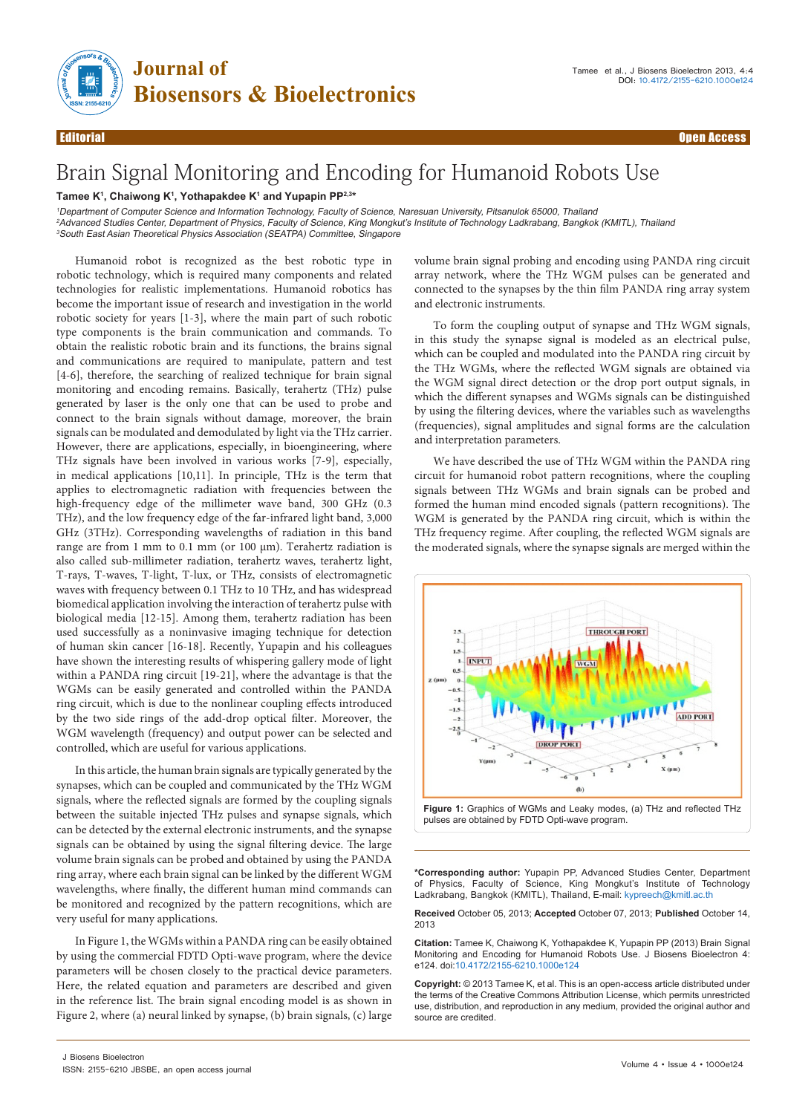

## Brain Signal Monitoring and Encoding for Humanoid Robots Use

## **Tamee K1 , Chaiwong K1 , Yothapakdee K1 and Yupapin PP2,3\***

<sup>1</sup>Department of Computer Science and Information Technology, Faculty of Science, Naresuan University, Pitsanulok 65000, Thailand

<sup>2</sup>Advanced Studies Center, Department of Physics, Faculty of Science, King Mongkut's Institute of Technology Ladkrabang, Bangkok (KMITL), Thailand <sup>3</sup>South East Asian Theoretical Physics Association (SEATPA) Committee, Singapore

Humanoid robot is recognized as the best robotic type in robotic technology, which is required many components and related technologies for realistic implementations. Humanoid robotics has become the important issue of research and investigation in the world robotic society for years [1-3], where the main part of such robotic type components is the brain communication and commands. To obtain the realistic robotic brain and its functions, the brains signal and communications are required to manipulate, pattern and test [4-6], therefore, the searching of realized technique for brain signal monitoring and encoding remains. Basically, terahertz (THz) pulse generated by laser is the only one that can be used to probe and connect to the brain signals without damage, moreover, the brain signals can be modulated and demodulated by light via the THz carrier. However, there are applications, especially, in bioengineering, where THz signals have been involved in various works [7-9], especially, in medical applications [10,11]. In principle, THz is the term that applies to electromagnetic radiation with frequencies between the high-frequency edge of the millimeter wave band, 300 GHz (0.3 THz), and the low frequency edge of the far-infrared light band, 3,000 GHz (3THz). Corresponding wavelengths of radiation in this band range are from 1 mm to 0.1 mm (or 100 μm). Terahertz radiation is also called sub-millimeter radiation, terahertz waves, terahertz light, T-rays, T-waves, T-light, T-lux, or THz, consists of electromagnetic waves with frequency between 0.1 THz to 10 THz, and has widespread biomedical application involving the interaction of terahertz pulse with biological media [12-15]. Among them, terahertz radiation has been used successfully as a noninvasive imaging technique for detection of human skin cancer [16-18]. Recently, Yupapin and his colleagues have shown the interesting results of whispering gallery mode of light within a PANDA ring circuit [19-21], where the advantage is that the WGMs can be easily generated and controlled within the PANDA ring circuit, which is due to the nonlinear coupling effects introduced by the two side rings of the add-drop optical filter. Moreover, the WGM wavelength (frequency) and output power can be selected and controlled, which are useful for various applications.

In this article, the human brain signals are typically generated by the synapses, which can be coupled and communicated by the THz WGM signals, where the reflected signals are formed by the coupling signals between the suitable injected THz pulses and synapse signals, which can be detected by the external electronic instruments, and the synapse signals can be obtained by using the signal filtering device. The large volume brain signals can be probed and obtained by using the PANDA ring array, where each brain signal can be linked by the different WGM wavelengths, where finally, the different human mind commands can be monitored and recognized by the pattern recognitions, which are very useful for many applications.

In Figure 1, the WGMs within a PANDA ring can be easily obtained by using the commercial FDTD Opti-wave program, where the device parameters will be chosen closely to the practical device parameters. Here, the related equation and parameters are described and given in the reference list. The brain signal encoding model is as shown in Figure 2, where (a) neural linked by synapse, (b) brain signals, (c) large

volume brain signal probing and encoding using PANDA ring circuit array network, where the THz WGM pulses can be generated and connected to the synapses by the thin film PANDA ring array system and electronic instruments.

To form the coupling output of synapse and THz WGM signals, in this study the synapse signal is modeled as an electrical pulse, which can be coupled and modulated into the PANDA ring circuit by the THz WGMs, where the reflected WGM signals are obtained via the WGM signal direct detection or the drop port output signals, in which the different synapses and WGMs signals can be distinguished by using the filtering devices, where the variables such as wavelengths (frequencies), signal amplitudes and signal forms are the calculation and interpretation parameters.

We have described the use of THz WGM within the PANDA ring circuit for humanoid robot pattern recognitions, where the coupling signals between THz WGMs and brain signals can be probed and formed the human mind encoded signals (pattern recognitions). The WGM is generated by the PANDA ring circuit, which is within the THz frequency regime. After coupling, the reflected WGM signals are the moderated signals, where the synapse signals are merged within the



**\*Corresponding author:** Yupapin PP, Advanced Studies Center, Department of Physics, Faculty of Science, King Mongkut's Institute of Technology Ladkrabang, Bangkok (KMITL), Thailand, E-mail: kypreech@kmitl.ac.th

**Received** October 05, 2013; **Accepted** October 07, 2013; **Published** October 14, 2013

**Citation:** Tamee K, Chaiwong K, Yothapakdee K, Yupapin PP (2013) Brain Signal Monitoring and Encoding for Humanoid Robots Use. J Biosens Bioelectron 4: e124. doi:10.4172/2155-6210.1000e124

**Copyright:** © 2013 Tamee K, et al. This is an open-access article distributed under the terms of the Creative Commons Attribution License, which permits unrestricted use, distribution, and reproduction in any medium, provided the original author and source are credited.